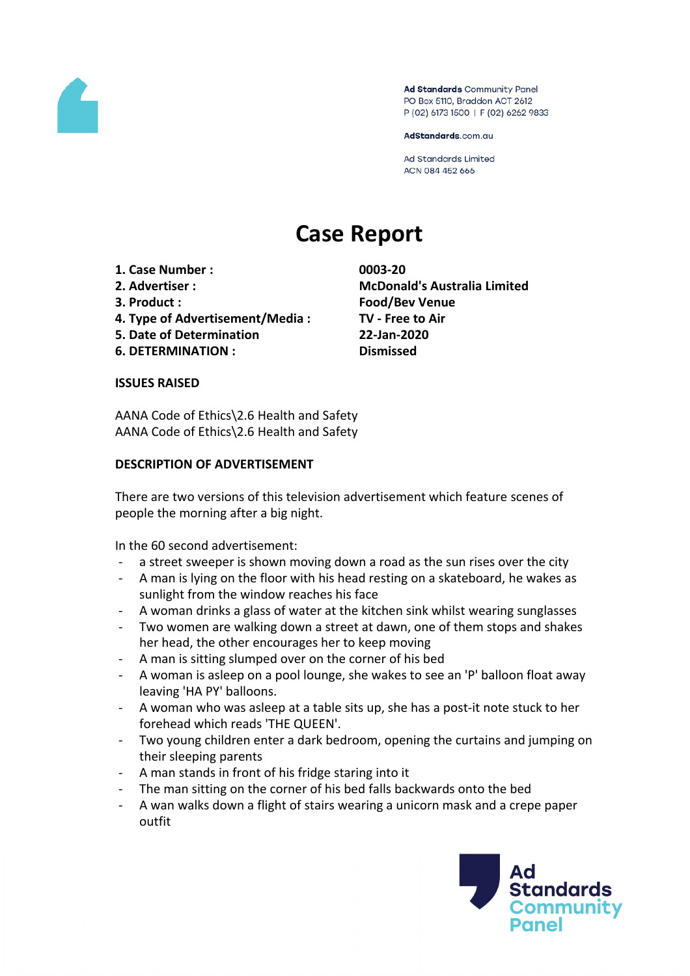

Ad Standards Community Panel PO Box 5110, Braddon ACT 2612 P (02) 6173 1500 | F (02) 6262 9833

AdStandards.com.au

**Ad Standards Limited** ACN 084 452 666

# **Case Report**

- **1. Case Number : 0003-20**
- 
- 
- **4. Type of Advertisement/Media : TV - Free to Air**
- **5. Date of Determination 22-Jan-2020**
- **6. DETERMINATION : Dismissed**

**2. Advertiser : McDonald's Australia Limited 3. Product : Food/Bev Venue**

### **ISSUES RAISED**

AANA Code of Ethics\2.6 Health and Safety AANA Code of Ethics\2.6 Health and Safety

## **DESCRIPTION OF ADVERTISEMENT**

There are two versions of this television advertisement which feature scenes of people the morning after a big night.

In the 60 second advertisement:

- a street sweeper is shown moving down a road as the sun rises over the city
- A man is lying on the floor with his head resting on a skateboard, he wakes as sunlight from the window reaches his face
- A woman drinks a glass of water at the kitchen sink whilst wearing sunglasses
- Two women are walking down a street at dawn, one of them stops and shakes her head, the other encourages her to keep moving
- A man is sitting slumped over on the corner of his bed
- A woman is asleep on a pool lounge, she wakes to see an 'P' balloon float away leaving 'HA PY' balloons.
- A woman who was asleep at a table sits up, she has a post-it note stuck to her forehead which reads 'THE QUEEN'.
- Two young children enter a dark bedroom, opening the curtains and jumping on their sleeping parents
- A man stands in front of his fridge staring into it
- The man sitting on the corner of his bed falls backwards onto the bed
- A wan walks down a flight of stairs wearing a unicorn mask and a crepe paper outfit

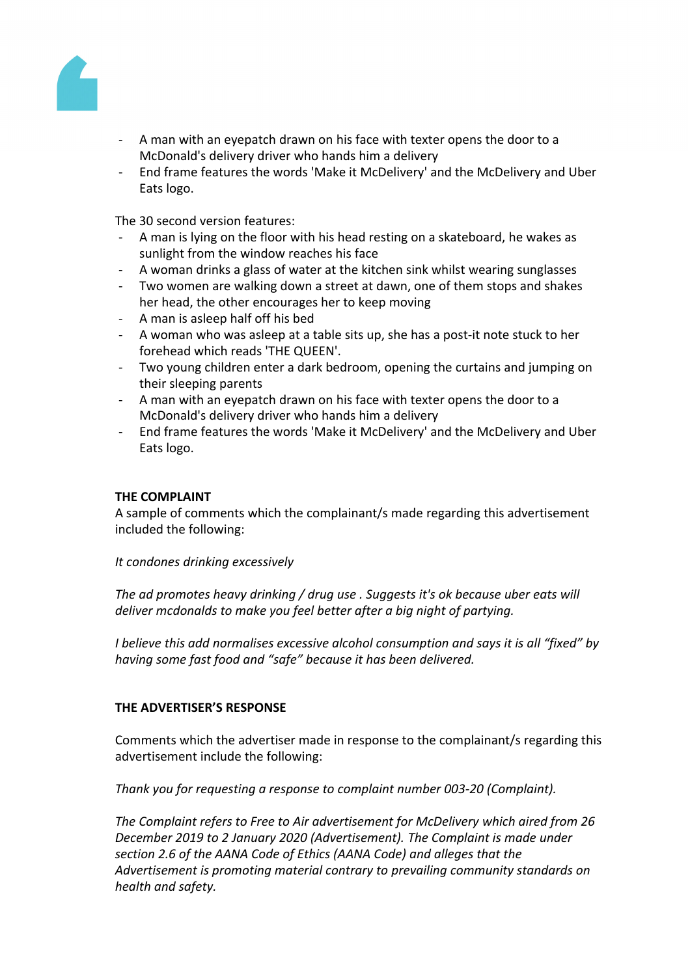

- A man with an eyepatch drawn on his face with texter opens the door to a McDonald's delivery driver who hands him a delivery
- End frame features the words 'Make it McDelivery' and the McDelivery and Uber Eats logo.

The 30 second version features:

- A man is lying on the floor with his head resting on a skateboard, he wakes as sunlight from the window reaches his face
- A woman drinks a glass of water at the kitchen sink whilst wearing sunglasses
- Two women are walking down a street at dawn, one of them stops and shakes her head, the other encourages her to keep moving
- A man is asleep half off his bed
- A woman who was asleep at a table sits up, she has a post-it note stuck to her forehead which reads 'THE QUEEN'.
- Two young children enter a dark bedroom, opening the curtains and jumping on their sleeping parents
- A man with an eyepatch drawn on his face with texter opens the door to a McDonald's delivery driver who hands him a delivery
- End frame features the words 'Make it McDelivery' and the McDelivery and Uber Eats logo.

### **THE COMPLAINT**

A sample of comments which the complainant/s made regarding this advertisement included the following:

### *It condones drinking excessively*

*The ad promotes heavy drinking / drug use . Suggests it's ok because uber eats will deliver mcdonalds to make you feel better after a big night of partying.*

*I believe this add normalises excessive alcohol consumption and says it is all "fixed" by having some fast food and "safe" because it has been delivered.*

### **THE ADVERTISER'S RESPONSE**

Comments which the advertiser made in response to the complainant/s regarding this advertisement include the following:

*Thank you for requesting a response to complaint number 003-20 (Complaint).*

*The Complaint refers to Free to Air advertisement for McDelivery which aired from 26 December 2019 to 2 January 2020 (Advertisement). The Complaint is made under section 2.6 of the AANA Code of Ethics (AANA Code) and alleges that the Advertisement is promoting material contrary to prevailing community standards on health and safety.*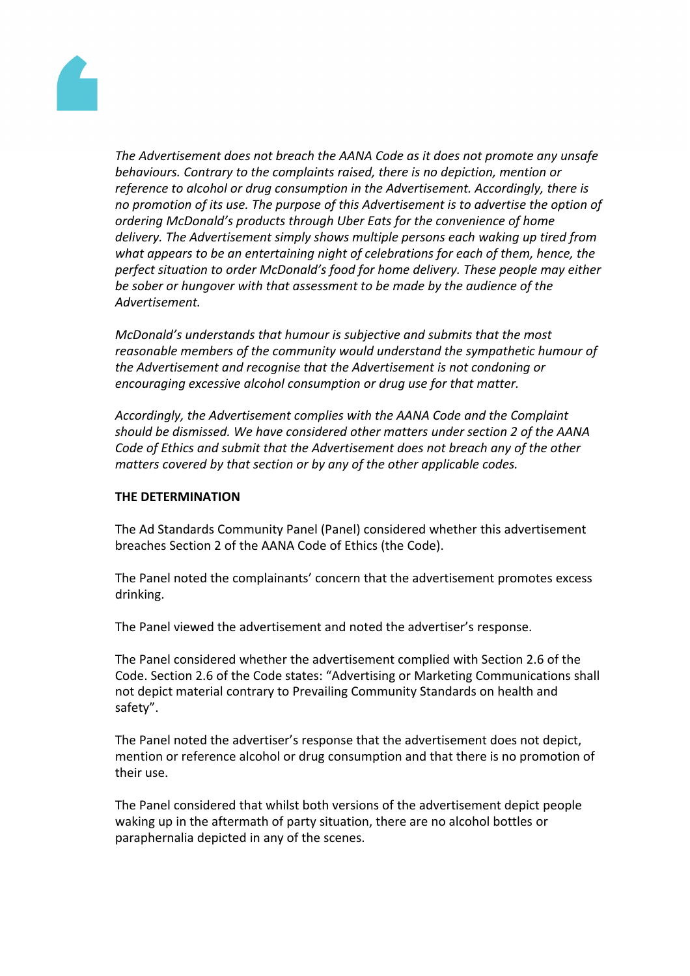

*The Advertisement does not breach the AANA Code as it does not promote any unsafe behaviours. Contrary to the complaints raised, there is no depiction, mention or reference to alcohol or drug consumption in the Advertisement. Accordingly, there is no promotion of its use. The purpose of this Advertisement is to advertise the option of ordering McDonald's products through Uber Eats for the convenience of home delivery. The Advertisement simply shows multiple persons each waking up tired from what appears to be an entertaining night of celebrations for each of them, hence, the perfect situation to order McDonald's food for home delivery. These people may either be sober or hungover with that assessment to be made by the audience of the Advertisement.*

*McDonald's understands that humour is subjective and submits that the most reasonable members of the community would understand the sympathetic humour of the Advertisement and recognise that the Advertisement is not condoning or encouraging excessive alcohol consumption or drug use for that matter.*

*Accordingly, the Advertisement complies with the AANA Code and the Complaint should be dismissed. We have considered other matters under section 2 of the AANA Code of Ethics and submit that the Advertisement does not breach any of the other matters covered by that section or by any of the other applicable codes.*

### **THE DETERMINATION**

The Ad Standards Community Panel (Panel) considered whether this advertisement breaches Section 2 of the AANA Code of Ethics (the Code).

The Panel noted the complainants' concern that the advertisement promotes excess drinking.

The Panel viewed the advertisement and noted the advertiser's response.

The Panel considered whether the advertisement complied with Section 2.6 of the Code. Section 2.6 of the Code states: "Advertising or Marketing Communications shall not depict material contrary to Prevailing Community Standards on health and safety".

The Panel noted the advertiser's response that the advertisement does not depict, mention or reference alcohol or drug consumption and that there is no promotion of their use.

The Panel considered that whilst both versions of the advertisement depict people waking up in the aftermath of party situation, there are no alcohol bottles or paraphernalia depicted in any of the scenes.